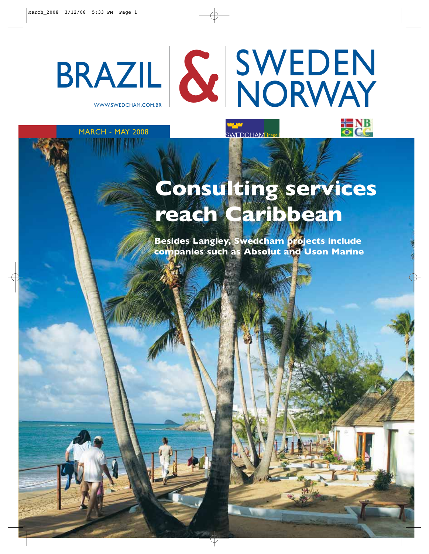

WWW.SWEDCHAM.COM.BR



MARCH - MAY 2008

# **Consulting services reach Caribbean**

**Besides Langley, Swedcham projects include companies such as Absolut and Uson Marine**

**SWEDCHAMBras**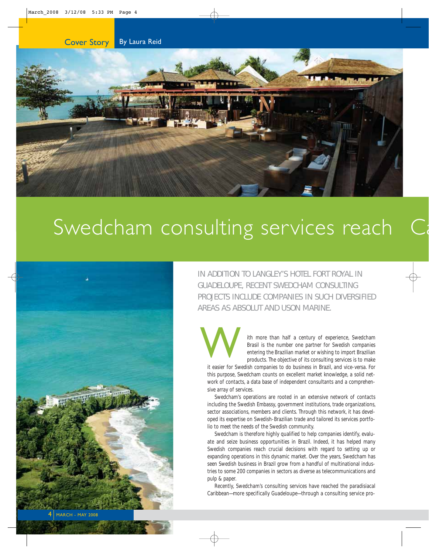



# Swedcham consulting services reach



IN ADDITION TO LANGLEY'S HOTEL FORT ROYAL IN GUADELOUPE, RECENT SWEDCHAM CONSULTING PROJECTS INCLUDE COMPANIES IN SUCH DIVERSIFIED AREAS AS ABSOLUT AND USON MARINE.

W

ith more than half a century of experience, Swedcham Brasil is the number one partner for Swedish companies entering the Brazilian market or wishing to import Brazilian products. The objective of its consulting services is to make

it easier for Swedish companies to do business in Brazil, and vice-versa. For this purpose, Swedcham counts on excellent market knowledge, a solid network of contacts, a data base of independent consultants and a comprehensive array of services.

Swedcham's operations are rooted in an extensive network of contacts including the Swedish Embassy, government institutions, trade organizations, sector associations, members and clients. Through this network, it has developed its expertise on Swedish-Brazilian trade and tailored its services portfolio to meet the needs of the Swedish community.

Swedcham is therefore highly qualified to help companies identify, evaluate and seize business opportunities in Brazil. Indeed, it has helped many Swedish companies reach crucial decisions with regard to setting up or expanding operations in this dynamic market. Over the years, Swedcham has seen Swedish business in Brazil grow from a handful of multinational industries to some 200 companies in sectors as diverse as telecommunications and pulp & paper.

Recently, Swedcham's consulting services have reached the paradisiacal Caribbean—more specifically Guadeloupe—through a consulting service pro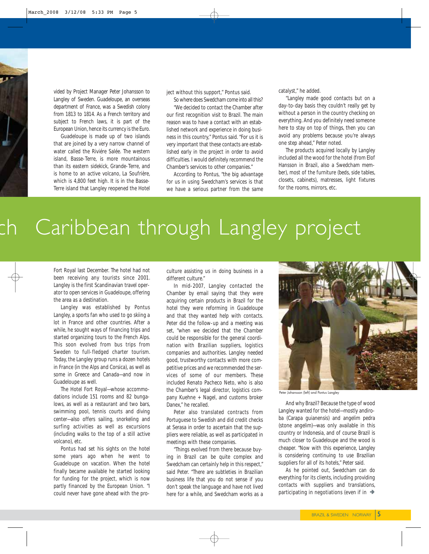vided by Project Manager Peter Johansson to Langley of Sweden. Guadeloupe, an overseas department of France, was a Swedish colony from 1813 to 1814. As a French territory and subject to French laws, it is part of the European Union, hence its currency is the Euro.

Guadeloupe is made up of two islands that are joined by a very narrow channel of water called the Riviére Salée. The western island, Basse-Terre, is more mountainous than its eastern sidekick, Grande-Terre, and is home to an active volcano, La Soufrière, which is 4,800 feet high. It is in the Basse-Terre island that Langley reopened the Hotel

ject without this support," Pontus said.

So where does Swedcham come into all this? "We decided to contact the Chamber after our first recognition visit to Brazil. The main reason was to have a contact with an established network and experience in doing business in this country," Pontus said. "For us it is very important that these contacts are established early in the project in order to avoid difficulties. I would definitely recommend the Chamber's services to other companies."

According to Pontus, "the big advantage for us in using Swedcham's services is that we have a serious partner from the same

catalyst," he added.

"Langley made good contacts but on a day-to-day basis they couldn't really get by without a person in the country checking on everything. And you definitely need someone here to stay on top of things, then you can avoid any problems because you're always one step ahead," Peter noted.

The products acquired locally by Langley included all the wood for the hotel (from Elof Hansson in Brazil, also a Swedcham member), most of the furniture (beds, side tables, closets, cabinets), matresses, light fixtures for the rooms, mirrors, etc.

# Caribbean through Langley project

Fort Royal last December. The hotel had not been receiving any tourists since 2001. Langley is the first Scandinavian travel operator to open services in Guadeloupe, offering the area as a destination.

Langley was established by Pontus Langley, a sports fan who used to go skiing a lot in France and other countries. After a while, he sought ways of financing trips and started organizing tours to the French Alps. This soon evolved from bus trips from Sweden to full-fledged charter tourism. Today, the Langley group runs a dozen hotels in France (in the Alps and Corsica), as well as some in Greece and Canada—and now in Guadeloupe as well.

The Hotel Fort Royal—whose accommodations include 151 rooms and 82 bungalows, as well as a restaurant and two bars, swimming pool, tennis courts and diving center—also offers sailing, snorkeling and surfing activities as well as excursions (including walks to the top of a still active volcano), etc.

Pontus had set his sights on the hotel some years ago when he went to Guadeloupe on vacation. When the hotel finally became available he started looking for funding for the project, which is now partly financed by the European Union. "I could never have gone ahead with the proculture assisting us in doing business in a different culture."

In mid-2007, Langley contacted the Chamber by email saying that they were acquiring certain products in Brazil for the hotel they were reforming in Guadeloupe and that they wanted help with contacts. Peter did the follow-up and a meeting was set, "when we decided that the Chamber could be responsible for the general coordination with Brazilian suppliers, logistics companies and authorities. Langley needed good, trustworthy contacts with more competitive prices and we recommended the services of some of our members. These included Renato Pacheco Neto, who is also the Chamber's legal director, logistics company Kuehne + Nagel, and customs broker Danex," he recalled.

Peter also translated contracts from Portuguese to Swedish and did credit checks at Serasa in order to ascertain that the suppliers were reliable, as well as participated in meetings with these companies.

"Things evolved from there because buying in Brazil can be quite complex and Swedcham can certainly help in this respect," said Peter. "There are subtleties in Brazilian business life that you do not sense if you don't speak the language and have not lived here for a while, and Swedcham works as a



eter Johansson (left) and Pontus Langley

And why Brazil? Because the type of wood Langley wanted for the hotel—mostly andiroba (Carapa guianensis) and angelim pedra (stone angelim)—was only available in this country or Indonesia, and of course Brazil is much closer to Guadeloupe and the wood is cheaper. "Now with this experience, Langley is considering continuing to use Brazilian suppliers for all of its hotels," Peter said.

As he pointed out, Swedcham can do everything for its clients, including providing contacts with suppliers and translations, participating in negotiations (even if in  $\rightarrow$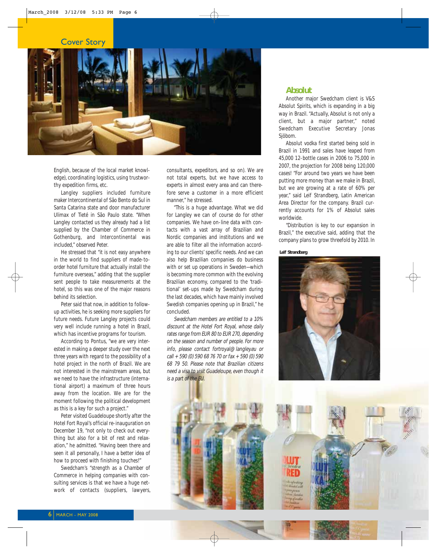### Cover Story



English, because of the local market knowledge), coordinating logistics, using trustworthy expedition firms, etc.

Langley suppliers included furniture maker Intercontinental of São Bento do Sul in Santa Catarina state and door manufacturer Ulimax of Tieté in São Paulo state. "When Langley contacted us they already had a list supplied by the Chamber of Commerce in Gothenburg, and Intercontinental was included," observed Peter.

He stressed that "it is not easy anywhere in the world to find suppliers of made-toorder hotel furniture that actually install the furniture overseas," adding that the supplier sent people to take measurements at the hotel, so this was one of the major reasons behind its selection.

Peter said that now, in addition to followup activities, he is seeking more suppliers for future needs. Future Langley projects could very well include running a hotel in Brazil, which has incentive programs for tourism.

According to Pontus, "we are very interested in making a deeper study over the next three years with regard to the possibility of a hotel project in the north of Brazil. We are not interested in the mainstream areas, but we need to have the infrastructure (international airport) a maximum of three hours away from the location. We are for the moment following the political development as this is a key for such a project."

Peter visited Guadeloupe shortly after the Hotel Fort Royal's official re-inauguration on December 19, "not only to check out everything but also for a bit of rest and relaxation," he admitted. "Having been there and seen it all personally, I have a better idea of how to proceed with finishing touches!"

Swedcham's "strength as a Chamber of Commerce in helping companies with consulting services is that we have a huge network of contacts (suppliers, lawyers,

consultants, expeditors, and so on). We are not total experts, but we have access to experts in almost every area and can therefore serve a customer in a more efficient manner," he stressed.

"This is a huge advantage. What we did for Langley we can of course do for other companies. We have on-line data with contacts with a vast array of Brazilian and Nordic companies and institutions and we are able to filter all the information according to our clients' specific needs. And we can also help Brazilian companies do business with or set up operations in Sweden—which is becoming more common with the evolving Brazilian economy, compared to the 'traditional' set-ups made by Swedcham during the last decades, which have mainly involved Swedish companies opening up in Brazil," he concluded.

Swedcham members are entitled to a 10% discount at the Hotel Fort Royal, whose daily rates range from EUR 80 to EUR 270, depending on the season and number of people. For more info, please contact fortroyal@langley.eu or call + 590 (0) 590 68 76 70 or fax + 590 (0) 590 68 79 50. Please note that Brazilian citizens need a visa to visit Guadeloupe, even though it is a part of the EU.

### **Absolut**

Another major Swedcham client is V&S Absolut Spirits, which is expanding in a big way in Brazil. "Actually, Absolut is not only a client, but a major partner," noted Swedcham Executive Secretary Jonas Sjöbom.

Absolut vodka first started being sold in Brazil in 1991 and sales have leaped from 45,000 12-bottle cases in 2006 to 75,000 in 2007, the projection for 2008 being 120,000 cases! "For around two years we have been putting more money than we make in Brazil, but we are growing at a rate of 60% per year," said Leif Strandberg, Latin American Area Director for the company. Brazil currently accounts for 1% of Absolut sales worldwide.

"Distribution is key to our expansion in Brazil," the executive said, adding that the company plans to grow threefold by 2010. In

**Leif Strandberg**

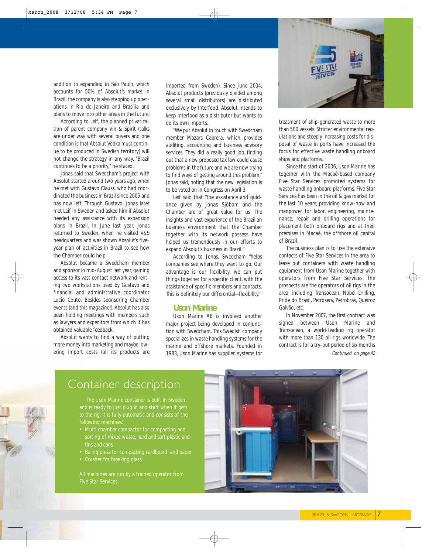

addition to expanding in São Paulo, which accounts for 50% of Absolut's market in Brazil, the company is also stepping up operations in Rio de Janeiro and Brasília and plans to move into other areas in the future.

According to Leif, the planned privatization of parent company Vin & Spirit (talks are under way with several buyers and one condition is that Absolut Vodka must continue to be produced in Swedish territory) will not change the strategy in any way. "Brazil continues to be a priority," he stated.

Jonas said that Swedcham's project with Absolut started around two years ago, when he met with Gustavo Clauss, who had coordinated the business in Brazil since 2005 and has now left. Through Gustavo, Jonas later met Leif in Sweden and asked him if Absolut needed any assistance with its expansion plans in Brazil. In June last year, Jonas returned to Sweden, when he visited V&S headquarters and was shown Absolut's fiveyear plan of activities in Brazil to see how the Chamber could help.

Absolut became a Swedcham member and sponsor in mid-August last year, gaining access to its vast contact network and renting two workstations used by Gustavo and financial and administrative coordinator Lucio Couto. Besides sponsoring Chamber events (and this magazine!), Absolut has also been holding meetings with members such as lawyers and expeditors from which it has obtained valuable feedback.

Absolut wants to find a way of putting more money into marketing and maybe lowering import costs (all its products are imported from Sweden). Since June 2004, Absolut products (previously divided among several small distributors) are distributed exclusively by Interfood. Absolut intends to keep Interfood as a distributor but wants to do its own imports.

"We put Absolut in touch with Swedcham member Mazars Cabrera, which provides auditing, accounting and business advisory services. They did a really good job, finding out that a new proposed tax law could cause problems in the future and we are now trying to find ways of getting around this problem," Jonas said, noting that the new legislation is to be voted on in Congress on April 3.

Leif said that "the assistance and guidance given by Jonas Sjöbom and the Chamber are of great value for us. The insights and vast experience of the Brazilian business environment that the Chamber together with its network possess have helped us tremendously in our efforts to expand Absolut's business in Brazil."

According to Jonas, Swedcham "helps companies see where they want to go. Our advantage is our flexibility, we can put things together for a specific client, with the assistance of specific members and contacts. This is definitely our differential—flexibility."

### **Uson Marine**

Uson Marine AB is involved another major project being developed in conjunction with Swedcham. This Swedish company specializes in waste handling systems for the marine and offshore markets. Founded in 1983, Uson Marine has supplied systems for

treatment of ship-generated waste to more than 500 vessels. Stricter environmental regulations and steeply increasing costs for disposal of waste in ports have increased the focus for effective waste handling onboard ships and platforms.

Since the start of 2006, Uson Marine has together with the Macaé-based company Five Star Services promoted systems for waste handling onboard platforms. Five Star Services has been in the oil & gas market for the last 10 years, providing know-how and manpower for labor, engineering, maintenance, repair and drilling operations for placement both onboard rigs and at their premises in Macaé, the offshore oil capital of Brazil.

The business plan is to use the extensive contacts of Five Star Services in the area to lease out containers with waste handling equipment from Uson Marine together with operators from Five Star Services. The prospects are the operators of oil rigs in the area, including Transocean, Nobel Drilling, Pride do Brasil, Petroserv, Petrobras, Queiroz Galvão, etc.

Continued on page 42 In November 2007, the first contract was signed between Uson Marine and Transocean, a world-leading rig operator with more than 130 oil rigs worldwide. The contract is for a try-out period of six months

### Container description

following machines:

- Multi chamber compactor for compacting and tins and cans
- Baling press for compacting cardboard and paper
- 

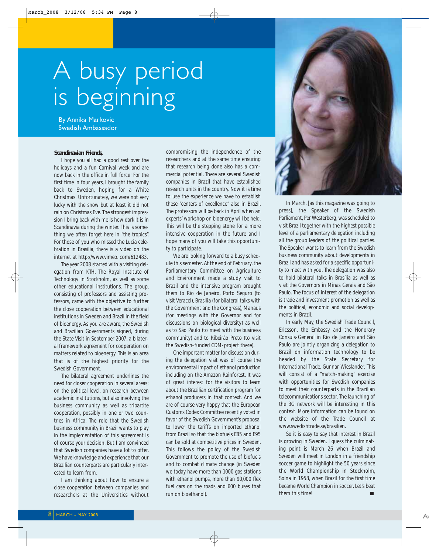# A busy period is beginning

By Annika Markovic Swedish Ambassador

#### **Scandinavian Friends,**

I hope you all had a good rest over the holidays and a fun Carnival week and are now back in the office in full force! For the first time in four years, I brought the family back to Sweden, hoping for a White Christmas. Unfortunately, we were not very lucky with the snow but at least it did not rain on Christmas Eve. The strongest impression I bring back with me is how dark it is in Scandinavia during the winter. This is something we often forget here in "the tropics". For those of you who missed the Lucia celebration in Brasilia, there is a video on the internet at http://www.vimeo. com/612483.

The year 2008 started with a visiting delegation from KTH, The Royal Institute of Technology in Stockholm, as well as some other educational institutions. The group, consisting of professors and assisting professors, came with the objective to further the close cooperation between educational institutions in Sweden and Brazil in the field of bioenergy. As you are aware, the Swedish and Brazilian Governments signed, during the State Visit in September 2007, a bilateral framework agreement for cooperation on matters related to bioenergy. This is an area that is of the highest priority for the Swedish Government.

The bilateral agreement underlines the need for closer cooperation in several areas; on the political level, on research between academic institutions, but also involving the business community as well as tripartite cooperation, possibly in one or two countries in Africa. The role that the Swedish business community in Brazil wants to play in the implementation of this agreement is of course your decision. But I am convinced that Swedish companies have a lot to offer. We have knowledge and experience that our Brazilian counterparts are particularly interested to learn from.

I am thinking about how to ensure a close cooperation between companies and researchers at the Universities without

compromising the independence of the researchers and at the same time ensuring that research being done also has a commercial potential. There are several Swedish companies in Brazil that have established research units in the country. Now it is time to use the experience we have to establish these "centers of excellence" also in Brazil. The professors will be back in April when an experts' workshop on bioenergy will be held. This will be the stepping stone for a more intensive cooperation in the future and I hope many of you will take this opportunity to participate.

We are looking forward to a busy schedule this semester. At the end of February, the Parliamentary Committee on Agriculture and Environment made a study visit to Brazil and the intensive program brought them to Rio de Janeiro, Porto Seguro (to visit Veracel), Brasilia (for bilateral talks with the Government and the Congress), Manaus (for meetings with the Governor and for discussions on biological diversity) as well as to São Paulo (to meet with the business community) and to Ribeirão Preto (to visit the Swedish-funded CDM-project there).

One important matter for discussion during the delegation visit was of course the environmental impact of ethanol production including on the Amazon Rainforest. It was of great interest for the visitors to learn about the Brazilian certification program for ethanol producers in that context. And we are of course very happy that the European Customs Codex Committee recently voted in favor of the Swedish Government's proposal to lower the tariffs on imported ethanol from Brazil so that the biofuels E85 and E95 can be sold at competitive prices in Sweden. This follows the policy of the Swedish Government to promote the use of biofuels and to combat climate change (in Sweden we today have more than 1000 gas stations with ethanol pumps, more than 90,000 flex fuel cars on the roads and 600 buses that run on bioethanol).



In March, [as this magazine was going to press], the Speaker of the Swedish Parliament, Per Westerberg, was scheduled to visit Brazil together with the highest possible level of a parliamentary delegation including all the group leaders of the political parties. The Speaker wants to learn from the Swedish business community about developments in Brazil and has asked for a specific opportunity to meet with you. The delegation was also to hold bilateral talks in Brasília as well as visit the Governors in Minas Gerais and São Paulo. The focus of interest of the delegation is trade and investment promotion as well as the political, economic and social developments in Brazil.

In early May, the Swedish Trade Council, Ericsson, the Embassy and the Honorary Consuls-General in Rio de Janeiro and São Paulo are jointly organizing a delegation to Brazil on information technology to be headed by the State Secretary for International Trade, Gunnar Wieslander. This will consist of a "match-making" exercise with opportunities for Swedish companies to meet their counterparts in the Brazilian telecommunications sector. The launching of the 3G network will be interesting in this context. More information can be found on the website of the Trade Council at www.swedishtrade.se/brasilien.

So it is easy to say that interest in Brazil is growing in Sweden. I guess the culminating point is March 26 when Brazil and Sweden will meet in London in a friendship soccer game to highlight the 50 years since the World Championship in Stockholm, Solna in 1958, when Brazil for the first time became World Champion in soccer. Let's beat them this time!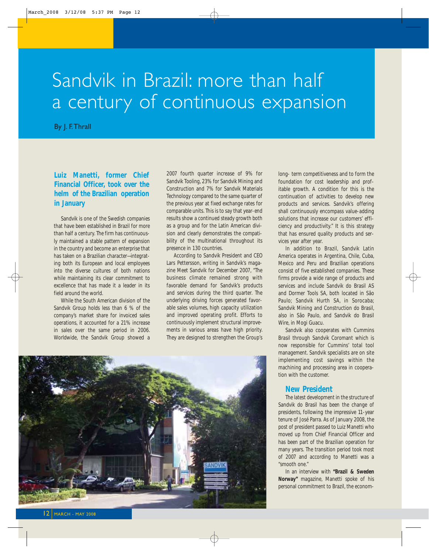## Sandvik in Brazil: more than half a century of continuous expansion

By J. F.Thrall

### **Luiz Manetti, former Chief Financial Officer, took over the helm of the Brazilian operation in January**

Sandvik is one of the Swedish companies that have been established in Brazil for more than half a century. The firm has continuously maintained a stable pattern of expansion in the country and become an enterprise that has taken on a Brazilian character—integrating both its European and local employees into the diverse cultures of both nations while maintaining its clear commitment to excellence that has made it a leader in its field around the world.

While the South American division of the Sandvik Group holds less than 6 % of the company's market share for invoiced sales operations, it accounted for a 21% increase in sales over the same period in 2006. Worldwide, the Sandvik Group showed a

2007 fourth quarter increase of 9% for Sandvik Tooling, 23% for Sandvik Mining and Construction and 7% for Sandvik Materials Technology compared to the same quarter of the previous year at fixed exchange rates for comparable units. This is to say that year-end results show a continued steady growth both as a group and for the Latin American division and clearly demonstrates the compatibility of the multinational throughout its presence in 130 countries.

According to Sandvik President and CEO Lars Pettersson, writing in Sandvik's magazine Meet Sandvik for December 2007, "The business climate remained strong with favorable demand for Sandvik's products and services during the third quarter. The underlying driving forces generated favorable sales volumes, high capacity utilization and improved operating profit. Efforts to continuously implement structural improvements in various areas have high priority. They are designed to strengthen the Group's



long- term competitiveness and to form the foundation for cost leadership and profitable growth. A condition for this is the continuation of activities to develop new products and services. Sandvik's offering shall continuously encompass value-adding solutions that increase our customers' efficiency and productivity." It is this strategy that has ensured quality products and services year after year.

In addition to Brazil, Sandvik Latin America operates in Argentina, Chile, Cuba, Mexico and Peru and Brazilian operations consist of five established companies. These firms provide a wide range of products and services and include Sandvik do Brasil AS and Dormer Tools SA, both located in São Paulo; Sandvik Hurth SA, in Sorocaba; Sandvik Mining and Construction do Brasil, also in São Paulo, and Sandvik do Brasil Wire, in Mogi Guacu.

Sandvik also cooperates with Cummins Brasil through Sandvik Coromant which is now responsible for Cummins' total tool management. Sandvik specialists are on site implementing cost savings within the machining and processing area in cooperation with the customer.

### **New President**

The latest development in the structure of Sandvik do Brasil has been the change of presidents, following the impressive 11-year tenure of José Parra. As of January 2008, the post of president passed to Luiz Manetti who moved up from Chief Financial Officer and has been part of the Brazilian operation for many years. The transition period took most of 2007 and according to Manetti was a "smooth one."

In an interview with **"Brazil & Sweden Norway"** magazine, Manetti spoke of his personal commitment to Brazil, the econom-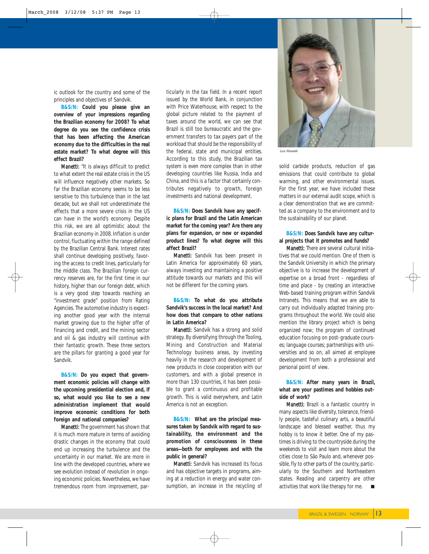ic outlook for the country and some of the principles and objectives of Sandvik.

**B&S/N: Could you please give an overview of your impressions regarding the Brazilian economy for 2008? To what degree do you see the confidence crisis that has been affecting the American economy due to the difficulties in the real estate market? To what degree will this effect Brazil?**

Manetti: "It is always difficult to predict to what extent the real estate crisis in the US will influence negatively other markets. So far the Brazilian economy seems to be less sensitive to this turbulence than in the last decade, but we shall not underestimate the effects that a more severe crisis in the US can have in the world's economy. Despite this risk, we are all optimistic about the Brazilian economy in 2008. Inflation is under control, fluctuating within the range defined by the Brazilian Central Bank. Interest rates shall continue developing positively, favoring the access to credit lines, particularly for the middle class. The Brazilian foreign currency reserves are, for the first time in our history, higher than our foreign debt, which is a very good step towards reaching an "investment grade" position from Rating Agencies. The automotive industry is expecting another good year with the internal market growing due to the higher offer of financing and credit, and the mining sector and oil & gas industry will continue with their fantastic growth. These three sectors are the pillars for granting a good year for Sandvik.

**B&S/N: Do you expect that government economic policies will change with the upcoming presidential election and, if so, what would you like to see a new administration implement that would improve economic conditions for both foreign and national companies?**

Manetti: The government has shown that it is much more mature in terms of avoiding drastic changes in the economy that could end up increasing the turbulence and the uncertainty in our market. We are more in line with the developed countries, where we see evolution instead of revolution in ongoing economic policies. Nevertheless, we have tremendous room from improvement, par-

ticularly in the tax field. In a recent report issued by the World Bank, in conjunction with Price Waterhouse, with respect to the global picture related to the payment of taxes around the world, we can see that Brazil is still too bureaucratic and the government transfers to tax payers part of the workload that should be the responsibility of the federal, state and municipal entities. According to this study, the Brazilian tax system is even more complex than in other developing countries like Russia, India and China, and this is a factor that certainly contributes negatively to growth, foreign investments and national development.

**B&S/N: Does Sandvik have any specific plans for Brazil and the Latin American market for the coming year? Are there any plans for expansion, or new or expanded product lines? To what degree will this affect Brazil?**

Manetti: Sandvik has been present in Latin America for approximately 60 years, always investing and maintaining a positive attitude towards our markets and this will not be different for the coming years.

**B&S/N: To what do you attribute Sandvik's success in the local market? And how does that compare to other nations in Latin America?** 

Manetti: Sandvik has a strong and solid strategy. By diversifying through the Tooling, Mining and Construction and Material Technology business areas, by investing heavily in the research and development of new products in close cooperation with our customers, and with a global presence in more than 130 countries, it has been possible to grant a continuous and profitable growth. This is valid everywhere, and Latin America is not an exception.

**B&S/N: What are the principal measures taken by Sandvik with regard to sustainability, the environment and the promotion of consciousness in these areas—both for employees and with the public in general?**

Manetti: Sandvik has increased its focus and has objective targets in programs, aiming at a reduction in energy and water consumption, an increase in the recycling of



Luiz Manetti

solid carbide products, reduction of gas emissions that could contribute to global warming, and other environmental issues. For the first year, we have included these matters in our external audit scope, which is a clear demonstration that we are committed as a company to the environment and to the sustainability of our planet.

#### **B&S/N: Does Sandvik have any cultural projects that it promotes and funds?**

Manetti: There are several cultural initiatives that we could mention. One of them is the Sandvik University in which the primary objective is to increase the development of expertise on a broad front - regardless of time and place - by creating an interactive Web-based training program within Sandvik Intranets. This means that we are able to carry out individually adapted training programs throughout the world. We could also mention the library project which is being organized now; the program of continued education focusing on post-graduate courses; language courses; partnerships with universities and so on, all aimed at employee development from both a professional and personal point of view.

### **B&S/N: After many years in Brazil, what are your pastimes and hobbies outside of work?**

Manetti: Brazil is a fantastic country in many aspects like diversity, tolerance, friendly people, tasteful culinary arts, a beautiful landscape and blessed weather, thus my hobby is to know it better. One of my pastimes is driving to the countryside during the weekends to visit and learn more about the cities close to São Paulo and, whenever possible, fly to other parts of the country, particularly to the Southern and Northeastern states. Reading and carpentry are other activities that work like therapy for me.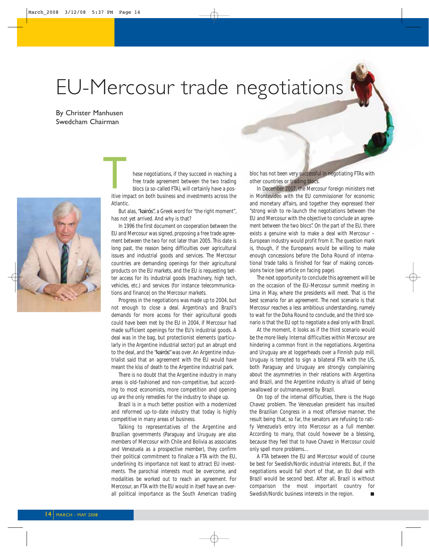# EU-Mercosur trade negotiations

By Christer Manhusen Swedcham Chairman



hese negotiations, if they succeed in reaching a free trade agreement between the two trading blocs (a so-called FTA), will certainly have a pos-In the megotiations, if they succeed in reaching a<br>free trade agreement between the two trading<br>blocs (a so-called FTA), will certainly have a pos-<br>itive impact on both business and investments across the Atlantic.

But alas, *"kairós"*, a Greek word for "the right moment", has not yet arrived. And why is that?

In 1996 the first document on cooperation between the EU and Mercosur was signed, proposing a free trade agreement between the two for not later than 2005. This date is long past, the reason being difficulties over agricultural issues and industrial goods and services. The Mercosur countries are demanding openings for their agricultural products on the EU markets, and the EU is requesting better access for its industrial goods (machinery, high tech, vehicles, etc.) and services (for instance telecommunications and finance) on the Mercosur markets.

Progress in the negotiations was made up to 2004, but not enough to close a deal. Argentina's and Brazil's demands for more access for their agricultural goods could have been met by the EU in 2004, if Mercosur had made sufficient openings for the EU's industrial goods. A deal was in the bag, but protectionist elements (particularly in the Argentine industrial sector) put an abrupt end to the deal, and the *"kairós"* was over. An Argentine industrialist said that an agreement with the EU would have meant the kíss of death to the Argentine industrial park.

There is no doubt that the Argentine industry in many areas is old-fashioned and non-competitive, but according to most economists, more competition and opening up are the only remedies for the industry to shape up.

Brazil is in a much better position with a modernized and reformed up-to-date industry that today is highly competitive in many areas of business.

Talking to representatives of the Argentine and Brazilian governments (Paraguay and Uruguay are also members of Mercosur with Chile and Bolivia as associates and Venezuela as a prospective member), they confirm their political commitment to finalize a FTA with the EU, underlining its importance not least to attract EU investments. The parochial interests must be overcome, and modalities be worked out to reach an agreement. For Mercosur, an FTA with the EU would in itself have an overall political importance as the South American trading bloc has not been very successful in negotiating FTAs with other countries or trading blocs.

In December 2007, the Mercosur foreign ministers met in Montevideo with the EU commissioner for economic and monetary affairs, and together they expressed their "strong wish to re-launch the negotiations between the EU and Mercosur with the objective to conclude an agreement between the two blocs". On the part of the EU, there exists a genuine wish to make a deal with Mercosur – European industry would profit from it. The question mark is, though, if the Europeans would be willing to make enough concessions before the Doha Round of international trade talks is finished for fear of making concessions twice (see article on facing page).

The next opportunity to conclude this agreement will be on the occasion of the EU-Mercosur summit meeting in Lima in May, where the presidents will meet. That is the best scenario for an agreement. The next scenario is that Mercosur reaches a less ambitious understanding, namely to wait for the Doha Round to conclude, and the third scenario is that the EU opt to negotiate a deal only with Brazil.

At the moment, it looks as if the third scenario would be the more likely. Internal difficulties within Mercosur are hindering a common front in the negotiations. Argentina and Uruguay are at loggerheads over a Finnish pulp mill, Uruguay is tempted to sign a bilateral FTA with the US, both Paraguay and Uruguay are strongly complaining about the asymmetries in their relations with Argentina and Brazil, and the Argentine industry is afraid of being swallowed or outmaneuvered by Brazil.

On top of the internal difficulties, there is the Hugo Chavez problem. The Venezuelan president has insulted the Brazilian Congress in a most offensive manner, the result being that, so far, the senators are refusing to ratify Venezuela's entry into Mercosur as a full member. According to many, that could however be a blessing, because they feel that to have Chavez in Mercosur could only spell more problems…

A FTA between the EU and Mercosur would of course be best for Swedish/Nordic industrial interests. But, if the negotiations would fall short of that, an EU deal with Brazil would be second best. After all, Brazil is without comparison the most important country for Swedish/Nordic business interests in the region.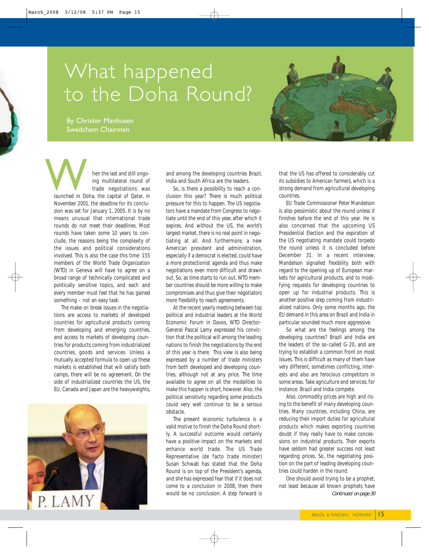## What happened to the Doha Round?

By Christer Manhusen Swedcham Chairman



hen the last and still ongoing multilateral round of trade negotiations was Men the last and still ongo-<br>
ing multilateral round of<br>
trade negotiations was<br>
launched in Doha, the capital of Qatar, in November 2001, the deadline for its conclusion was set for January 1, 2005. It is by no means unusual that international trade rounds do not meet their deadlines. Most rounds have taken some 10 years to conclude, the reasons being the complexity of the issues and political considerations involved. This is also the case this time: 155 members of the World Trade Organization (WTO) in Geneva will have to agree on a broad range of technically complicated and politically sensitive topics, and each and every member must feel that he has gained something – not an easy task.

The make-or-break issues in the negotiations are access to markets of developed countries for agricultural products coming from developing and emerging countries, and access to markets of developing countries for products coming from industrialized countries, goods and services. Unless a mutually accepted formula to open up these markets is established that will satisfy both camps, there will be no agreement. On the side of industrialized countries the US, the EU, Canada and Japan are the heavyweights,



and among the developing countries Brazil, India and South Africa are the leaders.

So, is there a possibility to reach a conclusion this year? There is much political pressure for this to happen. The US negotiators have a mandate from Congress to negotiate until the end of this year, after which it expires. And without the US, the world's largest market, there is no real point in negotiating at all. And furthermore, a new American president and administration, especially if a democrat is elected, could have a more protectionist agenda and thus make negotiations even more difficult and drawn out. So, as time starts to run out, WTO member countries should be more willing to make compromises and thus give their negotiators more flexibility to reach agreements.

At the recent yearly meeting between top political and industrial leaders at the World Economic Forum in Davos, WTO Director-General Pascal Lamy expressed his conviction that the political will among the leading nations to finish the negotiations by the end of this year is there. This view is also being expressed by a number of trade ministers from both developed and developing countries, although not at any price. The time available to agree on all the modalities to make this happen is short, however. Also, the political sensitivity regarding some products could very well continue to be a serious obstacle.

The present economic turbulence is a valid motive to finish the Doha Round shortly. A successful outcome would certainly have a positive impact on the markets and enhance world trade. The US Trade Representative (de facto trade minister) Susan Schwab has stated that the Doha Round is on top of the President's agenda, and she has expressed fear that if it does not come to a conclusion in 2008, then there would be no conclusion. A step forward is

that the US has offered to considerably cut its subsidies to American farmers, which is a strong demand from agricultural developing countries.

EU Trade Commissioner Peter Mandelson is also pessimistic about the round unless it finishes before the end of this year. He is also concerned that the upcoming US Presidential Election and the expiration of the US negotiating mandate could torpedo the round unless it is concluded before December 31. In a recent interview, Mandelson signalled flexibility both with regard to the opening up of European markets for agricultural products, and to modifying requests for developing countries to open up for industrial products. This is another positive step coming from industrialized nations. Only some months ago, the EU demand in this area on Brazil and India in particular sounded much more aggressive.

So what are the feelings among the developing countries? Brazil and India are the leaders of the so-called G-20, and are trying to establish a common front on most issues. This is difficult as many of them have very different, sometimes conflicting, interests and also are ferocious competitors in some areas. Take agriculture and services, for instance: Brazil and India compete.

Also, commodity prices are high and rising to the benefit of many developing countries. Many countries, including China, are reducing their import duties for agricultural products which makes exporting countries doubt if they really have to make concessions on industrial products. Their exports have seldom had greater success not least regarding prices. So, the negotiating position on the part of leading developing countries could harden in the round.

One should avoid trying to be a prophet, not least because all known prophets have *Continued on page 30*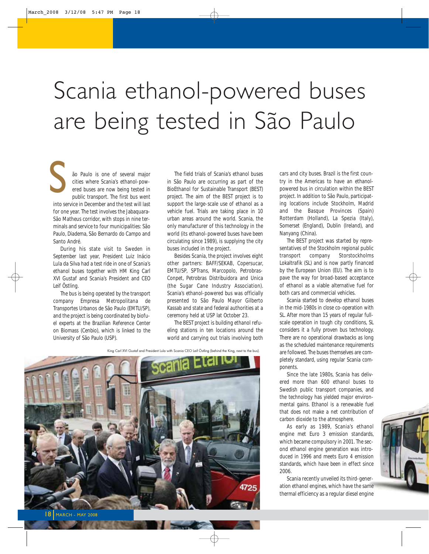# Scania ethanol-powered buses are being tested in São Paulo

ão Paulo is one of several major cities where Scania's ethanol-powered buses are now being tested in public transport. The first bus went S

into service in December and the test will last for one year. The test involves the Jabaquara-São Matheus corridor, with stops in nine terminals and service to four municipalities: São Paulo, Diadema, São Bernardo do Campo and Santo André.

During his state visit to Sweden in September last year, President Luiz Inácio Lula da Silva had a test ride in one of Scania's ethanol buses together with HM King Carl XVI Gustaf and Scania's President and CEO Leif Östling.

The bus is being operated by the transport company Empresa Metropolitana de Transportes Urbanos de São Paulo (EMTU/SP), and the project is being coordinated by biofuel experts at the Brazilian Reference Center on Biomass (Cenbio), which is linked to the University of São Paulo (USP).

The field trials of Scania's ethanol buses in São Paulo are occurring as part of the BioEthanol for Sustainable Transport (BEST) project. The aim of the BEST project is to support the large-scale use of ethanol as a vehicle fuel. Trials are taking place in 10 urban areas around the world. Scania, the only manufacturer of this technology in the world (its ethanol-powered buses have been circulating since 1989), is supplying the city buses included in the project.

Besides Scania, the project involves eight other partners: BAFF/SEKAB, Copersucar, EMTU/SP, SPTrans, Marcopolo, Petrobras-Conpet, Petrobras Distribuidora and Unica (the Sugar Cane Industry Association). Scania's ethanol-powered bus was officially presented to São Paulo Mayor Gilberto Kassab and state and federal authorities at a ceremony held at USP lat October 23.

The BEST project is building ethanol refueling stations in ten locations around the world and carrying out trials involving both

King Carl XVI Gustaf and President Lula with Scania CEO Leif Östling (behind the King, next to the bus).



cars and city buses. Brazil is the first country in the Americas to have an ethanolpowered bus in circulation within the BEST project. In addition to São Paulo, participating locations include Stockholm, Madrid and the Basque Provinces (Spain) Rotterdam (Holland), La Spezia (Italy), Somerset (England), Dublin (Ireland), and Nanyang (China).

The BEST project was started by representatives of the Stockholm regional public transport company Storstockholms Lokaltrafik (SL) and is now partly financed by the European Union (EU). The aim is to pave the way for broad-based acceptance of ethanol as a viable alternative fuel for both cars and commercial vehicles.

Scania started to develop ethanol buses in the mid-1980s in close co-operation with SL. After more than 15 years of regular fullscale operation in tough city conditions, SL considers it a fully proven bus technology. There are no operational drawbacks as long as the scheduled maintenance requirements are followed. The buses themselves are completely standard, using regular Scania components.

Since the late 1980s, Scania has delivered more than 600 ethanol buses to Swedish public transport companies, and the technology has yielded major environmental gains. Ethanol is a renewable fuel that does not make a net contribution of carbon dioxide to the atmosphere.

As early as 1989, Scania's ethanol engine met Euro 3 emission standards, which became compulsory in 2001. The second ethanol engine generation was introduced in 1996 and meets Euro 4 emission standards, which have been in effect since 2006.

Scania recently unveiled its third-generation ethanol engines, which have the same thermal efficiency as a regular diesel engine



MARCH - MAY 2008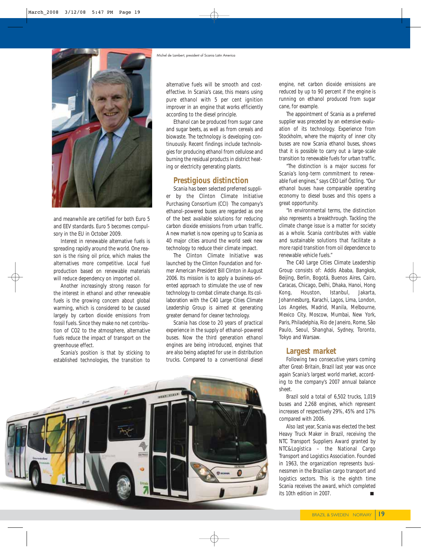

and meanwhile are certified for both Euro 5 and EEV standards. Euro 5 becomes compulsory in the EU in October 2009.

Interest in renewable alternative fuels is spreading rapidly around the world. One reason is the rising oil price, which makes the alternatives more competitive. Local fuel production based on renewable materials will reduce dependency on imported oil.

Another increasingly strong reason for the interest in ethanol and other renewable fuels is the growing concern about global warming, which is considered to be caused largely by carbon dioxide emissions from fossil fuels. Since they make no net contribution of CO2 to the atmosphere, alternative fuels reduce the impact of transport on the greenhouse effect.

Scania's position is that by sticking to established technologies, the transition to

alternative fuels will be smooth and costeffective. In Scania's case, this means using pure ethanol with 5 per cent ignition improver in an engine that works efficiently according to the diesel principle.

Ethanol can be produced from sugar cane and sugar beets, as well as from cereals and biowaste. The technology is developing continuously. Recent findings include technologies for producing ethanol from cellulose and burning the residual products in district heating or electricity generating plants.

### **Prestigious distinction**

Scania has been selected preferred supplier by the Clinton Climate Initiative Purchasing Consortium (CCI) The company's ethanol-powered buses are regarded as one of the best available solutions for reducing carbon dioxide emissions from urban traffic. A new market is now opening up to Scania as 40 major cities around the world seek new technology to reduce their climate impact.

The Clinton Climate Initiative was launched by the Clinton Foundation and former American President Bill Clinton in August 2006. Its mission is to apply a business-oriented approach to stimulate the use of new technology to combat climate change. Its collaboration with the C40 Large Cities Climate Leadership Group is aimed at generating greater demand for cleaner technology.

Scania has close to 20 years of practical experience in the supply of ethanol-powered buses. Now the third generation ethanol engines are being introduced, engines that are also being adapted for use in distribution trucks. Compared to a conventional diesel



engine, net carbon dioxide emissions are reduced by up to 90 percent if the engine is running on ethanol produced from sugar cane, for example.

The appointment of Scania as a preferred supplier was preceded by an extensive evaluation of its technology. Experience from Stockholm, where the majority of inner city buses are now Scania ethanol buses, shows that it is possible to carry out a large-scale transition to renewable fuels for urban traffic.

"The distinction is a major success for Scania's long-term commitment to renewable fuel engines," says CEO Leif Östling. "Our ethanol buses have comparable operating economy to diesel buses and this opens a great opportunity.

"In environmental terms, the distinction also represents a breakthrough. Tackling the climate change issue is a matter for society as a whole. Scania contributes with viable and sustainable solutions that facilitate a more rapid transition from oil dependence to renewable vehicle fuels."

The C40 Large Cities Climate Leadership Group consists of: Addis Ababa, Bangkok, Beijing, Berlin, Bogotá, Buenos Aires, Cairo, Caracas, Chicago, Delhi, Dhaka, Hanoi, Hong Kong, Houston, Istanbul, Jakarta, Johannesburg, Karachi, Lagos, Lima, London, Los Angeles, Madrid, Manila, Melbourne, Mexico City, Moscow, Mumbai, New York, Paris, Philadelphia, Rio de Janeiro, Rome, São Paulo, Seoul, Shanghai, Sydney, Toronto, Tokyo and Warsaw.

### **Largest market**

Following two consecutive years coming after Great-Britain, Brazil last year was once again Scania's largest world market, according to the company's 2007 annual balance sheet.

Brazil sold a total of 6,502 trucks, 1,019 buses and 2,268 engines, which represent increases of respectively 29%, 45% and 17% compared with 2006.

Also last year, Scania was elected the best Heavy Truck Maker in Brazil, receiving the NTC Transport Suppliers Award granted by NTC&Logística – the National Cargo Transport and Logistics Association. Founded in 1963, the organization represents businessmen in the Brazilian cargo transport and logistics sectors. This is the eighth time Scania receives the award, which completed its 10th edition in 2007.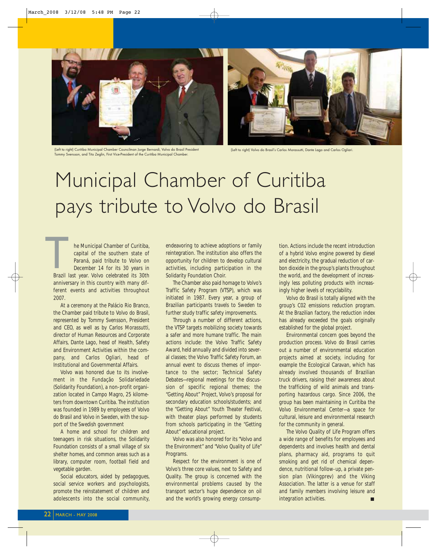

(Left to right) Curitiba Municipal Chamber Councilman Jorge Bernardi, Volvo do Brasil President Tommy Svensson, and Tito Zeglin, First Vice-President of the Curitiba Municipal Chamber.



(Left to right) Volvo do Brasil's Carlos Morassutti, Dante Lago and Carlos Ogliari.

# Municipal Chamber of Curitiba pays tribute to Volvo do Brasil

he Municipal Chamber of Curitiba, capital of the southern state of Paraná, paid tribute to Volvo on December 14 for its 30 years in Brazil last year. Volvo celebrated its 30th anniversary in this country with many different events and activities throughout 2007.  $\begin{array}{c}\n\hline\n\end{array}$ Brazil I

At a ceremony at the Palácio Rio Branco, the Chamber paid tribute to Volvo do Brasil, represented by Tommy Svensson, President and CEO, as well as by Carlos Morassutti, director of Human Resources and Corporate Affairs, Dante Lago, head of Health, Safety and Environment Activities within the company, and Carlos Ogliari, head of Institutional and Governmental Affairs.

Volvo was honored due to its involvement in the Fundação Solidariedade (Solidarity Foundation), a non-profit organization located in Campo Magro, 25 kilometers from downtown Curitiba. The institution was founded in 1989 by employees of Volvo do Brasil and Volvo in Sweden, with the support of the Swedish government

A home and school for children and teenagers in risk situations, the Solidarity Foundation consists of a small village of six shelter homes, and common areas such as a library, computer room, football field and vegetable garden.

Social educators, aided by pedagogues, social service workers and psychologists, promote the reinstatement of children and adolescents into the social community, endeavoring to achieve adoptions or family reintegration. The institution also offers the opportunity for children to develop cultural activities, including participation in the Solidarity Foundation Choir.

The Chamber also paid homage to Volvo's Traffic Safety Program (VTSP), which was initiated in 1987. Every year, a group of Brazilian participants travels to Sweden to further study traffic safety improvements.

Through a number of different actions, the VTSP targets mobilizing society towards a safer and more humane traffic. The main actions include: the Volvo Traffic Safety Award, held annually and divided into several classes; the Volvo Traffic Safety Forum, an annual event to discuss themes of importance to the sector; Technical Safety Debates—regional meetings for the discussion of specific regional themes; the "Getting About" Project, Volvo's proposal for secondary education schools/students; and the "Getting About" Youth Theater Festival, with theater plays performed by students from schools participating in the "Getting About" educational project.

Volvo was also honored for its "Volvo and the Environment" and "Volvo Quality of Life" Programs.

Respect for the environment is one of Volvo's three core values, next to Safety and Quality. The group is concerned with the environmental problems caused by the transport sector's huge dependence on oil and the world's growing energy consump-

tion. Actions include the recent introduction of a hybrid Volvo engine powered by diesel and electricity, the gradual reduction of carbon dioxide in the group's plants throughout the world, and the development of increasingly less polluting products with increasingly higher levels of recyclability.

Volvo do Brasil is totally aligned with the group's C02 emissions reduction program. At the Brazilian factory, the reduction index has already exceeded the goals originally established for the global project.

Environmental concern goes beyond the production process. Volvo do Brasil carries out a number of environmental education projects aimed at society, including for example the Ecological Caravan, which has already involved thousands of Brazilian truck drivers, raising their awareness about the trafficking of wild animals and transporting hazardous cargo. Since 2006, the group has been maintaining in Curitiba the Volvo Environmental Center—a space for cultural, leisure and environmental research for the community in general.

The Volvo Quality of Life Program offers a wide range of benefits for employees and dependents and involves health and dental plans, pharmacy aid, programs to quit smoking and get rid of chemical dependence, nutritional follow-up, a private pension plan (Vikingprev) and the Viking Association. The latter is a venue for staff and family members involving leisure and integration activities.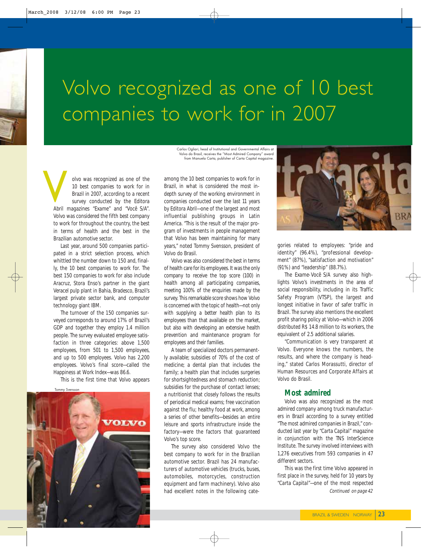# Volvo recognized as one of 10 best companies to work for in 2007

Carlos Ogliari, head of Institutional and Governmental Affairs at Volvo do Brasil, receives the "Most Admired Company" award from Manuela Carta, publisher of Carta Capital magazine.

olvo was recognized as one of the 10 best companies to work for in Brazil in 2007, according to a recent survey conducted by the Editora Abril magazines *"Exame"* and *"Você S/A"*. Volvo was considered the fifth best company to work for throughout the country, the best in terms of health and the best in the Brazilian automotive sector. **V** 

Last year, around 500 companies participated in a strict selection process, which whittled the number down to 150 and, finally, the 10 best companies to work for. The best 150 companies to work for also include Aracruz, Stora Enso's partner in the giant Veracel pulp plant in Bahia, Bradesco, Brazil's largest private sector bank, and computer technology giant IBM.

The turnover of the 150 companies surveyed corresponds to around 17% of Brazil's GDP and together they employ 1.4 million people. The survey evaluated employee satisfaction in three categories: above 1,500 employees, from 501 to 1,500 employees, and up to 500 employees. Volvo has 2,200 employees. Volvo's final score—called the Happiness at Work Index—was 86.6.

This is the first time that Volvo appears



among the 10 best companies to work for in Brazil, in what is considered the most indepth survey of the working environment in companies conducted over the last 11 years by Editora Abril—one of the largest and most influential publishing groups in Latin America. "This is the result of the major program of investments in people management that Volvo has been maintaining for many years," noted Tommy Svensson, president of Volvo do Brasil.

Volvo was also considered the best in terms of health care for its employees. It was the only company to receive the top score (100) in health among all participating companies, meeting 100% of the enquiries made by the survey. This remarkable score shows how Volvo is concerned with the topic of health—not only with supplying a better health plan to its employees than that available on the market, but also with developing an extensive health prevention and maintenance program for employees and their families.

A team of specialized doctors permanently available; subsidies of 70% of the cost of medicine; a dental plan that includes the family; a health plan that includes surgeries for shortsightedness and stomach reduction; subsidies for the purchase of contact lenses; a nutritionist that closely follows the results of periodical medical exams; free vaccination against the flu; healthy food at work, among a series of other benefits—besides an entire leisure and sports infrastructure inside the factory—were the factors that guaranteed Volvo's top score.

The survey also considered Volvo the best company to work for in the Brazilian automotive sector. Brazil has 24 manufacturers of automotive vehicles (trucks, buses, automobiles, motorcycles, construction equipment and farm machinery). Volvo also had excellent notes in the following cate-



gories related to employees: "pride and identity" (96.4%), "professional development" (87%), "satisfaction and motivation" (91%) and "leadership" (88.7%).

The *Exame-Você S/A* survey also highlights Volvo's investments in the area of social responsibility, including in its Traffic Safety Program (VTSP), the largest and longest initiative in favor of safer traffic in Brazil. The survey also mentions the excellent profit sharing policy at Volvo—which in 2006 distributed R\$ 14.8 million to its workers, the equivalent of 2.5 additional salaries.

"Communication is very transparent at Volvo. Everyone knows the numbers, the results, and where the company is heading," stated Carlos Morassutti, director of Human Resources and Corporate Affairs at Volvo do Brasil.

### **Most admired**

Volvo was also recognized as the most admired company among truck manufacturers in Brazil according to a survey entitled "The most admired companies in Brazil," conducted last year by *"Carta Capital"* magazine in conjunction with the TNS InterScience Institute. The survey involved interviews with 1,276 executives from 593 companies in 47 different sectors.

This was the first time Volvo appeared in first place in the survey, held for 10 years by *"Carta Capital"*—one of the most respected *Continued on page 42*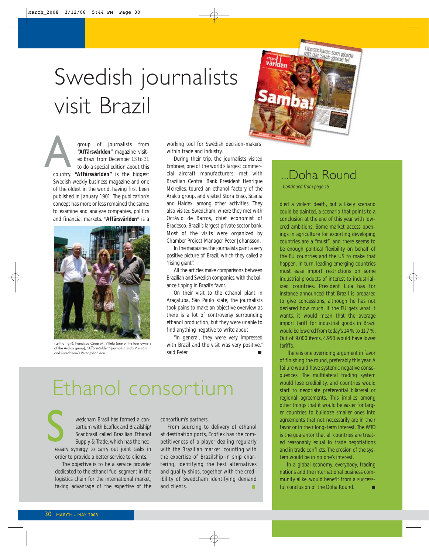# Swedish journalists visit Brazil



group of journalists from **"Affärsvärlden"** magazine visited Brazil from December 13 to 31 to do a special edition about this group of journalists from<br> **"Affärsvärlden"** magazine visit-<br>
ed Brazil from December 13 to 31<br>
to do a special edition about this<br>
country. **"Affärsvärlden"** is the biggest Swedish weekly business magazine and one of the oldest in the world, having first been published in January 1901. The publication's concept has more or less remained the same: to examine and analyze companies, politics and financial markets. **"Affärsvärlden"** is a



(Left to right), Francisco César M. Villela (one of the four owners of the Aralco group), "Affärsvärlden" journalist Linda Vikström and Swedcham's Peter Johansson.

working tool for Swedish decision-makers within trade and industry.

During their trip, the journalists visited Embraer, one of the world's largest commercial aircraft manufacturers, met with Brazilian Central Bank President Henrique Meirelles, toured an ethanol factory of the Aralco group, and visited Stora Enso, Scania and Haldex, among other activities. They also visited Swedcham, where they met with Octávio de Barros, chief economist of Bradesco, Brazil's largest private sector bank. Most of the visits were organized by Chamber Project Manager Peter Johansson.

In the magazine, the journalists paint a very positive picture of Brazil, which they called a "rising giant".

All the articles make comparisons between Brazilian and Swedish companies, with the balance tipping in Brazil's favor.

On their visit to the ethanol plant in Araçatuba, São Paulo state, the journalists took pains to make an objective overview as there is a lot of controversy surrounding ethanol production, but they were unable to find anything negative to write about.

"In general, they were very impressed with Brazil and the visit was very positive," said Peter.

# Ethanol consortium

wedcham Brasil has formed a consortium with Ecoflex and Brazilship/ Scanbrasil called Brazilian Ethanol Supply & Trade, which has the necessary synergy to carry out joint tasks in order to provide a better service to clients. S<sub>essa</sub>

The objective is to be a service provider dedicated to the ethanol fuel segment in the logistics chain for the international market, taking advantage of the expertise of the consortium's partners.

From sourcing to delivery of ethanol at destination ports, Ecoflex has the competitiveness of a player dealing regularly with the Brazilian market, counting with the expertise of Brazilship in ship chartering, identifying the best alternatives and quality ships, together with the credibility of Swedcham identifying demand and clients.

## ...Doha Round

Continued from page 15

died a violent death, but a likely scenario could be painted, a scenario that points to a conclusion at the end of this year with lowered ambitions. Some market access openings in agriculture for exporting developing countries are a "must", and there seems to be enough political flexibility on behalf of the EU countries and the US to make that happen. In turn, leading emerging countries must ease import restrictions on some industrial products of interest to industrialized countries. President Lula has for instance announced that Brazil is prepared to give concessions, although he has not declared how much. If the EU gets what it wants, it would mean that the average import tariff for industrial goods in Brazil would be lowered from today's 14 % to 11.7 %. Out of 9.000 items, 4.950 would have lower tariffs.

There is one overriding argument in favor of finishing the round, preferably this year. A failure would have systemic negative consequences. The multilateral trading system would lose credibility, and countries would start to negotiate preferential bilateral or regional agreements. This implies among other things that it would be easier for larger countries to bulldoze smaller ones into agreements that not necessarily are in their favor or in their long-term interest. The WTO is the guarantor that all countries are treated reasonably equal in trade negotiations and in trade conflicts. The erosion of the system would be in no one's interest.

In a global economy, everybody, trading nations and the international business community alike, would benefit from a successful conclusion of the Doha Round. п